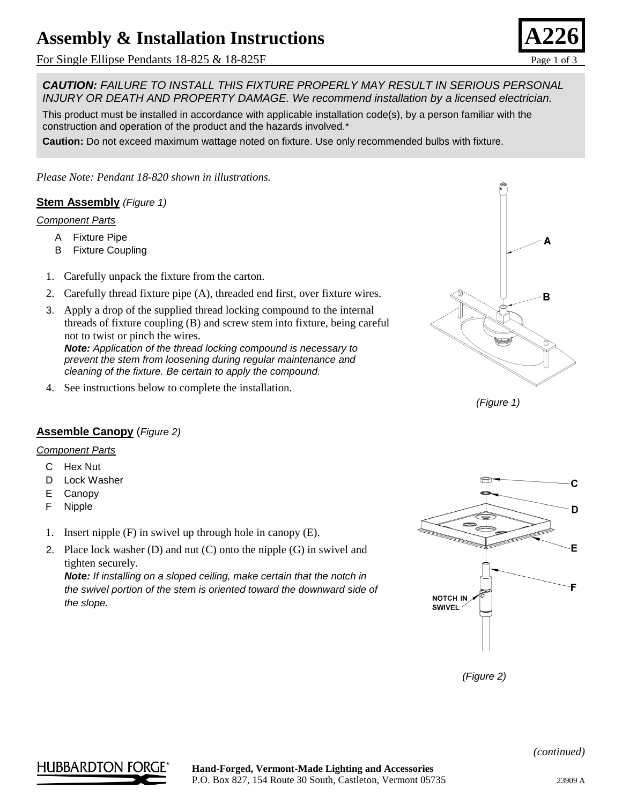# **Assembly & Installation Instructions**

For Single Ellipse Pendants  $18-825 \& 18-825F$  Page 1 of 3

*Please Note: Pendant 18-820 shown in illustrations.*

1. Carefully unpack the fixture from the carton.



- threads of fixture coupling (B) and screw stem into fixture, being careful not to twist or pinch the wires. *Note: Application of the thread locking compound is necessary to prevent the stem from loosening during regular maintenance and cleaning of the fixture. Be certain to apply the compound.*
- 4. See instructions below to complete the installation.



**Stem Assembly** *(Figure 1)*

*Component Parts*

A Fixture Pipe B Fixture Coupling

#### *Component Parts*

- C Hex Nut
- D Lock Washer
- E Canopy
- F Nipple
- 1. Insert nipple (F) in swivel up through hole in canopy (E).
- 2. Place lock washer (D) and nut (C) onto the nipple (G) in swivel and tighten securely.

*Note: If installing on a sloped ceiling, make certain that the notch in the swivel portion of the stem is oriented toward the downward side of the slope.*



*(Figure 2)*

## *CAUTION: FAILURE TO INSTALL THIS FIXTURE PROPERLY MAY RESULT IN SERIOUS PERSONAL INJURY OR DEATH AND PROPERTY DAMAGE. We recommend installation by a licensed electrician.*

This product must be installed in accordance with applicable installation code(s), by a person familiar with the construction and operation of the product and the hazards involved.\*

**Caution:** Do not exceed maximum wattage noted on fixture. Use only recommended bulbs with fixture.

HUBBARDTON FORG

*(continued)*



B

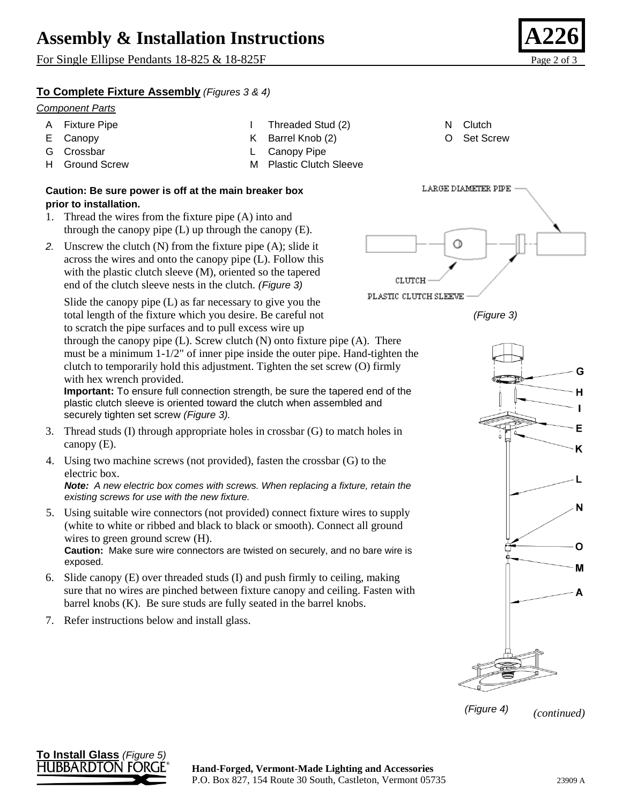## **Assembly & Installation Instructions**

For Single Ellipse Pendants 18-825 & 18-825F Page 2 of 3

### **To Complete Fixture Assembly** *(Figures 3 & 4)*

#### *Component Parts*

- A Fixture Pipe E Canopy G Crossbar H Ground Screw I Threaded Stud (2) K Barrel Knob (2) L Canopy Pipe M Plastic Clutch Sleeve N Clutch O Set Screw
- **Caution: Be sure power is off at the main breaker box prior to installation.**
- 1. Thread the wires from the fixture pipe (A) into and through the canopy pipe  $(L)$  up through the canopy  $(E)$ .
- *2.* Unscrew the clutch (N) from the fixture pipe (A); slide it across the wires and onto the canopy pipe (L). Follow this with the plastic clutch sleeve (M), oriented so the tapered end of the clutch sleeve nests in the clutch*. (Figure 3)*

Slide the canopy pipe (L) as far necessary to give you the total length of the fixture which you desire. Be careful not to scratch the pipe surfaces and to pull excess wire up

through the canopy pipe  $(L)$ . Screw clutch  $(N)$  onto fixture pipe  $(A)$ . There must be a minimum 1-1/2" of inner pipe inside the outer pipe. Hand-tighten the clutch to temporarily hold this adjustment. Tighten the set screw (O) firmly with hex wrench provided.

**Important:** To ensure full connection strength, be sure the tapered end of the plastic clutch sleeve is oriented toward the clutch when assembled and securely tighten set screw *(Figure 3).*

- 3. Thread studs (I) through appropriate holes in crossbar (G) to match holes in canopy (E).
- 4. Using two machine screws (not provided), fasten the crossbar (G) to the electric box.

*Note: A new electric box comes with screws. When replacing a fixture, retain the existing screws for use with the new fixture.*

5. Using suitable wire connectors (not provided) connect fixture wires to supply (white to white or ribbed and black to black or smooth). Connect all ground wires to green ground screw (H).

**Caution:** Make sure wire connectors are twisted on securely, and no bare wire is exposed.

- 6. Slide canopy (E) over threaded studs (I) and push firmly to ceiling, making sure that no wires are pinched between fixture canopy and ceiling. Fasten with barrel knobs (K). Be sure studs are fully seated in the barrel knobs.
- 7. Refer instructions below and install glass.



*(Figure 3)*





*(continued)*